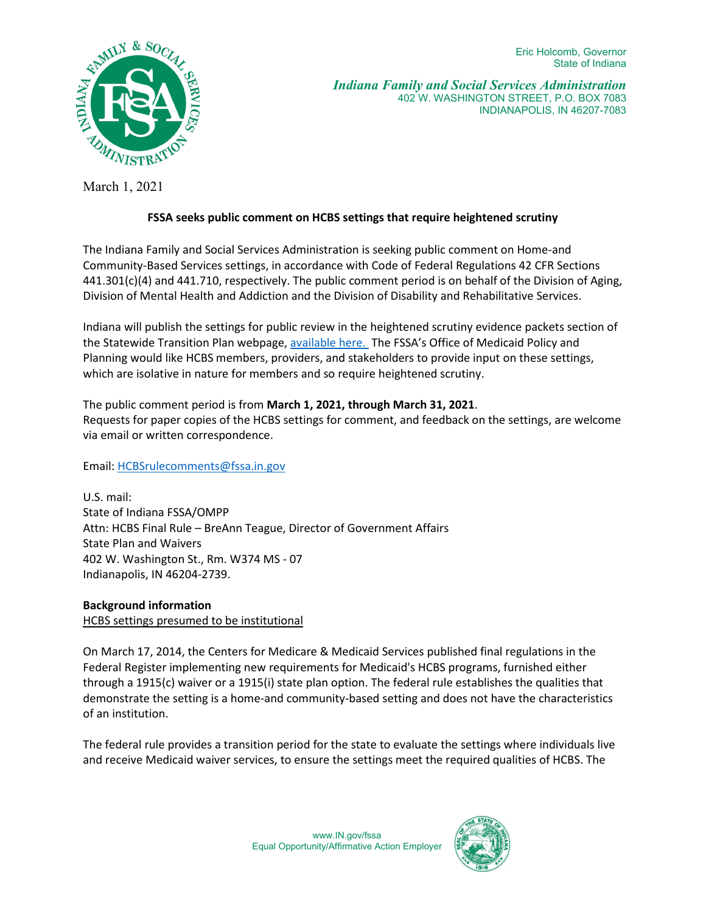Eric Holcomb, Governor State of Indiana



*Indiana Family and Social Services Administration* 402 W. WASHINGTON STREET, P.O. BOX 7083 INDIANAPOLIS, IN 46207-7083

March 1, 2021

## **FSSA seeks public comment on HCBS settings that require heightened scrutiny**

The Indiana Family and Social Services Administration is seeking public comment on Home-and Community-Based Services settings, in accordance with Code of Federal Regulations 42 CFR Sections 441.301(c)(4) and 441.710, respectively. The public comment period is on behalf of the Division of Aging, Division of Mental Health and Addiction and the Division of Disability and Rehabilitative Services.

Indiana will publish the settings for public review in the heightened scrutiny evidence packets section of the Statewide Transition Plan webpage, [available](https://www.in.gov/fssa/da/projects/home-and-community-based-services-final-rule-statewide-transition-plan/) her[e.](https://www.in.gov/fssa/da/projects/home-and-community-based-services-final-rule-statewide-transition-plan/) The FSSA's Office of Medicaid Policy and Planning would like HCBS members, providers, and stakeholders to provide input on these settings, which are isolative in nature for members and so require heightened scrutiny.

The public comment period is from **March 1, 2021, through March 31, 2021**. Requests for paper copies of the HCBS settings for comment, and feedback on the settings, are welcome via email or written correspondence.

Email: [HCBSrulecomments@fssa.in.gov](mailto:HCBSrulecomments@fssa.in.gov) 

U.S. mail: State of Indiana FSSA/OMPP Attn: HCBS Final Rule – BreAnn Teague, Director of Government Affairs State Plan and Waivers 402 W. Washington St., Rm. W374 MS - 07 Indianapolis, IN 46204-2739.

**Background information**  HCBS settings presumed to be institutional

On March 17, 2014, the Centers for Medicare & Medicaid Services published final regulations in the Federal Register implementing new requirements for Medicaid's HCBS programs, furnished either through a 1915(c) waiver or a 1915(i) state plan option. The federal rule establishes the qualities that demonstrate the setting is a home-and community-based setting and does not have the characteristics of an institution.

The federal rule provides a transition period for the state to evaluate the settings where individuals live and receive Medicaid waiver services, to ensure the settings meet the required qualities of HCBS. The